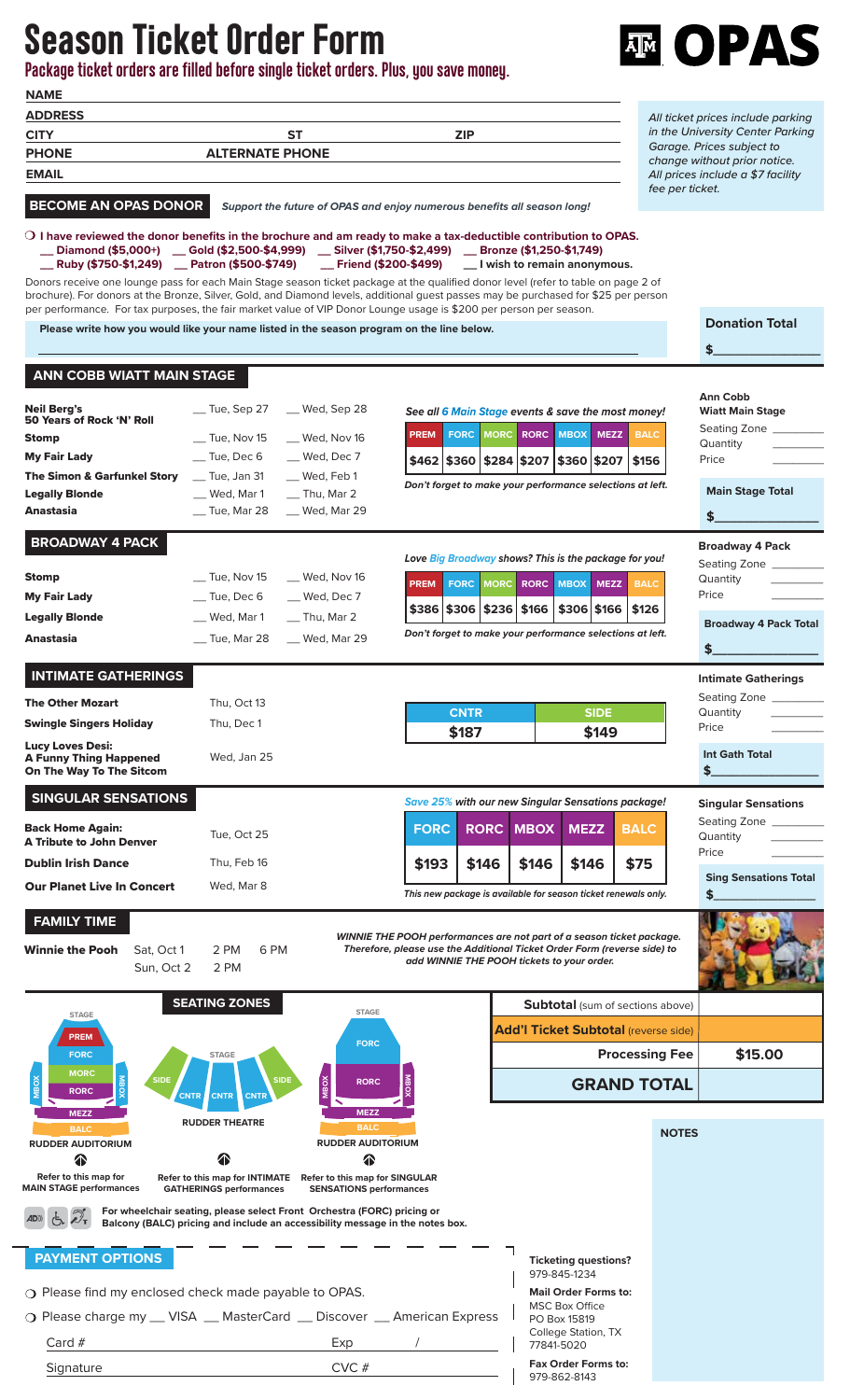## Season Ticket Order Form

**NAME Package ticket orders are filled before single ticket orders. Plus, you save money.**



| All ticket prices include parking<br>in the University Center Parking<br><b>ST</b><br><b>ZIP</b><br><b>CITY</b><br>Garage. Prices subject to<br><b>ALTERNATE PHONE</b><br><b>PHONE</b><br>change without prior notice.<br><b>EMAIL</b><br>All prices include a \$7 facility<br>fee per ticket.<br><b>BECOME AN OPAS DONOR</b><br>Support the future of OPAS and enjoy numerous benefits all season long!<br>$\circlearrowleft$ I have reviewed the donor benefits in the brochure and am ready to make a tax-deductible contribution to OPAS.<br><b>__ Diamond (\$5,000+)</b> __ Gold (\$2,500-\$4,999) __ Silver (\$1,750-\$2,499) __ Bronze (\$1,250-\$1,749)<br><b>__ Ruby (\$750-\$1,249)</b> __ Patron (\$500-\$749) __ Friend (\$200-\$499) __ I wish to remain anonymous.<br>Donors receive one lounge pass for each Main Stage season ticket package at the qualified donor level (refer to table on page 2 of<br>brochure). For donors at the Bronze, Silver, Gold, and Diamond levels, additional quest passes may be purchased for \$25 per person<br>per performance. For tax purposes, the fair market value of VIP Donor Lounge usage is \$200 per person per season.<br>Please write how you would like your name listed in the season program on the line below.<br>\$<br><b>ANN COBB WIATT MAIN STAGE</b><br><b>Ann Cobb</b><br><b>Neil Berg's</b><br>$\equiv$ Tue, Sep 27<br>__ Wed, Sep 28<br>See all 6 Main Stage events & save the most money!<br>50 Years of Rock 'N' Roll<br><b>MORC RORC</b><br><b>MBOX</b><br><b>MEZZ</b><br><b>BALC</b><br><b>PREM</b><br><b>FORC</b><br>$\equiv$ Tue, Nov 15<br>Wed, Nov 16<br>Stomp<br>Quantity<br>_ Tue, Dec 6<br><b>My Fair Lady</b><br>__ Wed, Dec 7<br>$$462$ $$360$ $$284$ $$207$ $$360$ $$207$ $$156$<br>Price<br>$\equiv$ Tue, Jan 31<br>__ Wed, Feb 1<br>The Simon & Garfunkel Story<br>Don't forget to make your performance selections at left.<br><b>Legally Blonde</b><br>$\_$ Thu, Mar 2<br>_ Wed, Mar 1<br>Anastasia<br>$\_$ Tue, Mar 28<br>__ Wed, Mar 29<br>\$<br><b>BROADWAY 4 PACK</b><br><b>Broadway 4 Pack</b><br>Love Big Broadway shows? This is the package for you!<br>$\equiv$ Tue, Nov 15<br>_Med, Nov 16<br>Stomp<br>Quantity<br><b>BALC</b><br><b>PREM</b><br><b>FORC MORC</b><br><b>RORC</b><br><b>MBOX</b><br><b>MEZZ</b><br>Price<br>$\equiv$ Tue, Dec 6<br><b>My Fair Lady</b><br>__ Wed, Dec 7<br>$$386 \, \times \, 306 \, \times \, 236 \, \times \, 166$<br>\$306 \$166 \$126<br><b>Legally Blonde</b><br>__ Wed, Mar 1<br>$\equiv$ Thu, Mar 2<br>Don't forget to make your performance selections at left.<br>__ Wed, Mar 29<br>Anastasia<br>$\_$ Tue, Mar 28<br>\$<br><b>INTIMATE GATHERINGS</b><br><b>Intimate Gatherings</b><br><b>The Other Mozart</b><br>Thu, Oct 13<br><b>CNTR</b><br><b>SIDE</b><br>Quantity<br><b>Swingle Singers Holiday</b><br>Thu, Dec 1<br>Price<br>\$149<br>\$187<br><b>Lucy Loves Desi:</b><br><b>Int Gath Total</b><br>Wed, Jan 25<br><b>A Funny Thing Happened</b><br>\$.<br>On The Way To The Sitcom<br><b>SINGULAR SENSATIONS</b><br>Save 25% with our new Singular Sensations package!<br><b>Back Home Again:</b><br><b>FORC</b><br><b>RORC</b><br><b>MBOX</b><br><b>MEZZ</b><br><b>BALC</b><br>Tue, Oct 25<br>Quantity<br><b>A Tribute to John Denver</b><br>Price<br>Thu, Feb 16<br>\$146<br>\$146<br>\$75<br><b>Dublin Irish Dance</b><br>\$193<br>\$146<br><b>Sing Sensations Total</b><br>Wed, Mar 8<br><b>Our Planet Live In Concert</b><br>This new package is available for season ticket renewals only.<br><b>FAMILY TIME</b><br>WINNIE THE POOH performances are not part of a season ticket package.<br>Therefore, please use the Additional Ticket Order Form (reverse side) to<br><b>Winnie the Pooh</b><br>6 PM<br>Sat, Oct 1<br>2 PM<br>add WINNIE THE POOH tickets to your order.<br>2 PM<br>Sun, Oct 2<br><b>SEATING ZONES</b><br><b>Subtotal</b> (sum of sections above)<br><b>STAGE</b><br><b>STAGE</b><br><b>Add'l Ticket Subtotal (reverse side)</b><br><b>PREM</b><br><b>FORC</b><br><b>Processing Fee</b><br>\$15.00<br><b>FORC</b><br><b>STAGE</b><br><b>MORC</b><br><b>SIDE</b><br><b>SIDE</b><br><b>GRAND TOTAL</b><br><b>RORC</b><br><b>RORC</b><br><b>CNTR</b><br><b>CNTR</b><br><b>CNTR</b><br><b>MEZZ</b><br><b>MEZZ</b><br><b>RUDDER THEATRE</b><br><b>BALC</b><br><b>BALC</b><br><b>NOTES</b><br><b>RUDDER AUDITORIUM</b><br><b>RUDDER AUDITORIUM</b><br><mark>^</mark><br>☎<br>Refer to this map for<br>Refer to this map for INTIMATE Refer to this map for SINGULAR<br><b>MAIN STAGE performances</b><br><b>GATHERINGS performances</b><br><b>SENSATIONS performances</b><br>For wheelchair seating, please select Front Orchestra (FORC) pricing or<br>$\mathcal{L}_{\mathsf{T}}$<br>Balcony (BALC) pricing and include an accessibility message in the notes box. | <b>NAME</b>    |  |  |  |  |  |  |                              |  |  |  |
|--------------------------------------------------------------------------------------------------------------------------------------------------------------------------------------------------------------------------------------------------------------------------------------------------------------------------------------------------------------------------------------------------------------------------------------------------------------------------------------------------------------------------------------------------------------------------------------------------------------------------------------------------------------------------------------------------------------------------------------------------------------------------------------------------------------------------------------------------------------------------------------------------------------------------------------------------------------------------------------------------------------------------------------------------------------------------------------------------------------------------------------------------------------------------------------------------------------------------------------------------------------------------------------------------------------------------------------------------------------------------------------------------------------------------------------------------------------------------------------------------------------------------------------------------------------------------------------------------------------------------------------------------------------------------------------------------------------------------------------------------------------------------------------------------------------------------------------------------------------------------------------------------------------------------------------------------------------------------------------------------------------------------------------------------------------------------------------------------------------------------------------------------------------------------------------------------------------------------------------------------------------------------------------------------------------------------------------------------------------------------------------------------------------------------------------------------------------------------------------------------------------------------------------------------------------------------------------------------------------------------------------------------------------------------------------------------------------------------------------------------------------------------------------------------------------------------------------------------------------------------------------------------------------------------------------------------------------------------------------------------------------------------------------------------------------------------------------------------------------------------------------------------------------------------------------------------------------------------------------------------------------------------------------------------------------------------------------------------------------------------------------------------------------------------------------------------------------------------------------------------------------------------------------------------------------------------------------------------------------------------------------------------------------------------------------------------------------------------------------------------------------------------------------------------------------------------------------------------------------------------------------------------------------------------------------------------------------------------------------------------------------------------------------------------------------------------------------------------------------------------------------------------------------------------------------------------------------------------------------------------------------------------------------------------------------------------------------------------------------------------------------------------------------------------------------------------------------------------------------------------------------------------------------------------------------------------------------------------------------------------------------------------------------------------------------------------------------------------------------------------------------------------------------------------------------------------------------------|----------------|--|--|--|--|--|--|------------------------------|--|--|--|
|                                                                                                                                                                                                                                                                                                                                                                                                                                                                                                                                                                                                                                                                                                                                                                                                                                                                                                                                                                                                                                                                                                                                                                                                                                                                                                                                                                                                                                                                                                                                                                                                                                                                                                                                                                                                                                                                                                                                                                                                                                                                                                                                                                                                                                                                                                                                                                                                                                                                                                                                                                                                                                                                                                                                                                                                                                                                                                                                                                                                                                                                                                                                                                                                                                                                                                                                                                                                                                                                                                                                                                                                                                                                                                                                                                                                                                                                                                                                                                                                                                                                                                                                                                                                                                                                                                                                                                                                                                                                                                                                                                                                                                                                                                                                                                                                                                            | <b>ADDRESS</b> |  |  |  |  |  |  |                              |  |  |  |
|                                                                                                                                                                                                                                                                                                                                                                                                                                                                                                                                                                                                                                                                                                                                                                                                                                                                                                                                                                                                                                                                                                                                                                                                                                                                                                                                                                                                                                                                                                                                                                                                                                                                                                                                                                                                                                                                                                                                                                                                                                                                                                                                                                                                                                                                                                                                                                                                                                                                                                                                                                                                                                                                                                                                                                                                                                                                                                                                                                                                                                                                                                                                                                                                                                                                                                                                                                                                                                                                                                                                                                                                                                                                                                                                                                                                                                                                                                                                                                                                                                                                                                                                                                                                                                                                                                                                                                                                                                                                                                                                                                                                                                                                                                                                                                                                                                            |                |  |  |  |  |  |  |                              |  |  |  |
|                                                                                                                                                                                                                                                                                                                                                                                                                                                                                                                                                                                                                                                                                                                                                                                                                                                                                                                                                                                                                                                                                                                                                                                                                                                                                                                                                                                                                                                                                                                                                                                                                                                                                                                                                                                                                                                                                                                                                                                                                                                                                                                                                                                                                                                                                                                                                                                                                                                                                                                                                                                                                                                                                                                                                                                                                                                                                                                                                                                                                                                                                                                                                                                                                                                                                                                                                                                                                                                                                                                                                                                                                                                                                                                                                                                                                                                                                                                                                                                                                                                                                                                                                                                                                                                                                                                                                                                                                                                                                                                                                                                                                                                                                                                                                                                                                                            |                |  |  |  |  |  |  |                              |  |  |  |
|                                                                                                                                                                                                                                                                                                                                                                                                                                                                                                                                                                                                                                                                                                                                                                                                                                                                                                                                                                                                                                                                                                                                                                                                                                                                                                                                                                                                                                                                                                                                                                                                                                                                                                                                                                                                                                                                                                                                                                                                                                                                                                                                                                                                                                                                                                                                                                                                                                                                                                                                                                                                                                                                                                                                                                                                                                                                                                                                                                                                                                                                                                                                                                                                                                                                                                                                                                                                                                                                                                                                                                                                                                                                                                                                                                                                                                                                                                                                                                                                                                                                                                                                                                                                                                                                                                                                                                                                                                                                                                                                                                                                                                                                                                                                                                                                                                            |                |  |  |  |  |  |  |                              |  |  |  |
|                                                                                                                                                                                                                                                                                                                                                                                                                                                                                                                                                                                                                                                                                                                                                                                                                                                                                                                                                                                                                                                                                                                                                                                                                                                                                                                                                                                                                                                                                                                                                                                                                                                                                                                                                                                                                                                                                                                                                                                                                                                                                                                                                                                                                                                                                                                                                                                                                                                                                                                                                                                                                                                                                                                                                                                                                                                                                                                                                                                                                                                                                                                                                                                                                                                                                                                                                                                                                                                                                                                                                                                                                                                                                                                                                                                                                                                                                                                                                                                                                                                                                                                                                                                                                                                                                                                                                                                                                                                                                                                                                                                                                                                                                                                                                                                                                                            |                |  |  |  |  |  |  |                              |  |  |  |
|                                                                                                                                                                                                                                                                                                                                                                                                                                                                                                                                                                                                                                                                                                                                                                                                                                                                                                                                                                                                                                                                                                                                                                                                                                                                                                                                                                                                                                                                                                                                                                                                                                                                                                                                                                                                                                                                                                                                                                                                                                                                                                                                                                                                                                                                                                                                                                                                                                                                                                                                                                                                                                                                                                                                                                                                                                                                                                                                                                                                                                                                                                                                                                                                                                                                                                                                                                                                                                                                                                                                                                                                                                                                                                                                                                                                                                                                                                                                                                                                                                                                                                                                                                                                                                                                                                                                                                                                                                                                                                                                                                                                                                                                                                                                                                                                                                            |                |  |  |  |  |  |  |                              |  |  |  |
|                                                                                                                                                                                                                                                                                                                                                                                                                                                                                                                                                                                                                                                                                                                                                                                                                                                                                                                                                                                                                                                                                                                                                                                                                                                                                                                                                                                                                                                                                                                                                                                                                                                                                                                                                                                                                                                                                                                                                                                                                                                                                                                                                                                                                                                                                                                                                                                                                                                                                                                                                                                                                                                                                                                                                                                                                                                                                                                                                                                                                                                                                                                                                                                                                                                                                                                                                                                                                                                                                                                                                                                                                                                                                                                                                                                                                                                                                                                                                                                                                                                                                                                                                                                                                                                                                                                                                                                                                                                                                                                                                                                                                                                                                                                                                                                                                                            |                |  |  |  |  |  |  |                              |  |  |  |
|                                                                                                                                                                                                                                                                                                                                                                                                                                                                                                                                                                                                                                                                                                                                                                                                                                                                                                                                                                                                                                                                                                                                                                                                                                                                                                                                                                                                                                                                                                                                                                                                                                                                                                                                                                                                                                                                                                                                                                                                                                                                                                                                                                                                                                                                                                                                                                                                                                                                                                                                                                                                                                                                                                                                                                                                                                                                                                                                                                                                                                                                                                                                                                                                                                                                                                                                                                                                                                                                                                                                                                                                                                                                                                                                                                                                                                                                                                                                                                                                                                                                                                                                                                                                                                                                                                                                                                                                                                                                                                                                                                                                                                                                                                                                                                                                                                            |                |  |  |  |  |  |  |                              |  |  |  |
|                                                                                                                                                                                                                                                                                                                                                                                                                                                                                                                                                                                                                                                                                                                                                                                                                                                                                                                                                                                                                                                                                                                                                                                                                                                                                                                                                                                                                                                                                                                                                                                                                                                                                                                                                                                                                                                                                                                                                                                                                                                                                                                                                                                                                                                                                                                                                                                                                                                                                                                                                                                                                                                                                                                                                                                                                                                                                                                                                                                                                                                                                                                                                                                                                                                                                                                                                                                                                                                                                                                                                                                                                                                                                                                                                                                                                                                                                                                                                                                                                                                                                                                                                                                                                                                                                                                                                                                                                                                                                                                                                                                                                                                                                                                                                                                                                                            |                |  |  |  |  |  |  |                              |  |  |  |
|                                                                                                                                                                                                                                                                                                                                                                                                                                                                                                                                                                                                                                                                                                                                                                                                                                                                                                                                                                                                                                                                                                                                                                                                                                                                                                                                                                                                                                                                                                                                                                                                                                                                                                                                                                                                                                                                                                                                                                                                                                                                                                                                                                                                                                                                                                                                                                                                                                                                                                                                                                                                                                                                                                                                                                                                                                                                                                                                                                                                                                                                                                                                                                                                                                                                                                                                                                                                                                                                                                                                                                                                                                                                                                                                                                                                                                                                                                                                                                                                                                                                                                                                                                                                                                                                                                                                                                                                                                                                                                                                                                                                                                                                                                                                                                                                                                            |                |  |  |  |  |  |  | <b>Donation Total</b>        |  |  |  |
|                                                                                                                                                                                                                                                                                                                                                                                                                                                                                                                                                                                                                                                                                                                                                                                                                                                                                                                                                                                                                                                                                                                                                                                                                                                                                                                                                                                                                                                                                                                                                                                                                                                                                                                                                                                                                                                                                                                                                                                                                                                                                                                                                                                                                                                                                                                                                                                                                                                                                                                                                                                                                                                                                                                                                                                                                                                                                                                                                                                                                                                                                                                                                                                                                                                                                                                                                                                                                                                                                                                                                                                                                                                                                                                                                                                                                                                                                                                                                                                                                                                                                                                                                                                                                                                                                                                                                                                                                                                                                                                                                                                                                                                                                                                                                                                                                                            |                |  |  |  |  |  |  |                              |  |  |  |
|                                                                                                                                                                                                                                                                                                                                                                                                                                                                                                                                                                                                                                                                                                                                                                                                                                                                                                                                                                                                                                                                                                                                                                                                                                                                                                                                                                                                                                                                                                                                                                                                                                                                                                                                                                                                                                                                                                                                                                                                                                                                                                                                                                                                                                                                                                                                                                                                                                                                                                                                                                                                                                                                                                                                                                                                                                                                                                                                                                                                                                                                                                                                                                                                                                                                                                                                                                                                                                                                                                                                                                                                                                                                                                                                                                                                                                                                                                                                                                                                                                                                                                                                                                                                                                                                                                                                                                                                                                                                                                                                                                                                                                                                                                                                                                                                                                            |                |  |  |  |  |  |  |                              |  |  |  |
|                                                                                                                                                                                                                                                                                                                                                                                                                                                                                                                                                                                                                                                                                                                                                                                                                                                                                                                                                                                                                                                                                                                                                                                                                                                                                                                                                                                                                                                                                                                                                                                                                                                                                                                                                                                                                                                                                                                                                                                                                                                                                                                                                                                                                                                                                                                                                                                                                                                                                                                                                                                                                                                                                                                                                                                                                                                                                                                                                                                                                                                                                                                                                                                                                                                                                                                                                                                                                                                                                                                                                                                                                                                                                                                                                                                                                                                                                                                                                                                                                                                                                                                                                                                                                                                                                                                                                                                                                                                                                                                                                                                                                                                                                                                                                                                                                                            |                |  |  |  |  |  |  |                              |  |  |  |
|                                                                                                                                                                                                                                                                                                                                                                                                                                                                                                                                                                                                                                                                                                                                                                                                                                                                                                                                                                                                                                                                                                                                                                                                                                                                                                                                                                                                                                                                                                                                                                                                                                                                                                                                                                                                                                                                                                                                                                                                                                                                                                                                                                                                                                                                                                                                                                                                                                                                                                                                                                                                                                                                                                                                                                                                                                                                                                                                                                                                                                                                                                                                                                                                                                                                                                                                                                                                                                                                                                                                                                                                                                                                                                                                                                                                                                                                                                                                                                                                                                                                                                                                                                                                                                                                                                                                                                                                                                                                                                                                                                                                                                                                                                                                                                                                                                            |                |  |  |  |  |  |  | <b>Wiatt Main Stage</b>      |  |  |  |
|                                                                                                                                                                                                                                                                                                                                                                                                                                                                                                                                                                                                                                                                                                                                                                                                                                                                                                                                                                                                                                                                                                                                                                                                                                                                                                                                                                                                                                                                                                                                                                                                                                                                                                                                                                                                                                                                                                                                                                                                                                                                                                                                                                                                                                                                                                                                                                                                                                                                                                                                                                                                                                                                                                                                                                                                                                                                                                                                                                                                                                                                                                                                                                                                                                                                                                                                                                                                                                                                                                                                                                                                                                                                                                                                                                                                                                                                                                                                                                                                                                                                                                                                                                                                                                                                                                                                                                                                                                                                                                                                                                                                                                                                                                                                                                                                                                            |                |  |  |  |  |  |  | Seating Zone _______         |  |  |  |
|                                                                                                                                                                                                                                                                                                                                                                                                                                                                                                                                                                                                                                                                                                                                                                                                                                                                                                                                                                                                                                                                                                                                                                                                                                                                                                                                                                                                                                                                                                                                                                                                                                                                                                                                                                                                                                                                                                                                                                                                                                                                                                                                                                                                                                                                                                                                                                                                                                                                                                                                                                                                                                                                                                                                                                                                                                                                                                                                                                                                                                                                                                                                                                                                                                                                                                                                                                                                                                                                                                                                                                                                                                                                                                                                                                                                                                                                                                                                                                                                                                                                                                                                                                                                                                                                                                                                                                                                                                                                                                                                                                                                                                                                                                                                                                                                                                            |                |  |  |  |  |  |  |                              |  |  |  |
|                                                                                                                                                                                                                                                                                                                                                                                                                                                                                                                                                                                                                                                                                                                                                                                                                                                                                                                                                                                                                                                                                                                                                                                                                                                                                                                                                                                                                                                                                                                                                                                                                                                                                                                                                                                                                                                                                                                                                                                                                                                                                                                                                                                                                                                                                                                                                                                                                                                                                                                                                                                                                                                                                                                                                                                                                                                                                                                                                                                                                                                                                                                                                                                                                                                                                                                                                                                                                                                                                                                                                                                                                                                                                                                                                                                                                                                                                                                                                                                                                                                                                                                                                                                                                                                                                                                                                                                                                                                                                                                                                                                                                                                                                                                                                                                                                                            |                |  |  |  |  |  |  |                              |  |  |  |
|                                                                                                                                                                                                                                                                                                                                                                                                                                                                                                                                                                                                                                                                                                                                                                                                                                                                                                                                                                                                                                                                                                                                                                                                                                                                                                                                                                                                                                                                                                                                                                                                                                                                                                                                                                                                                                                                                                                                                                                                                                                                                                                                                                                                                                                                                                                                                                                                                                                                                                                                                                                                                                                                                                                                                                                                                                                                                                                                                                                                                                                                                                                                                                                                                                                                                                                                                                                                                                                                                                                                                                                                                                                                                                                                                                                                                                                                                                                                                                                                                                                                                                                                                                                                                                                                                                                                                                                                                                                                                                                                                                                                                                                                                                                                                                                                                                            |                |  |  |  |  |  |  | <b>Main Stage Total</b>      |  |  |  |
|                                                                                                                                                                                                                                                                                                                                                                                                                                                                                                                                                                                                                                                                                                                                                                                                                                                                                                                                                                                                                                                                                                                                                                                                                                                                                                                                                                                                                                                                                                                                                                                                                                                                                                                                                                                                                                                                                                                                                                                                                                                                                                                                                                                                                                                                                                                                                                                                                                                                                                                                                                                                                                                                                                                                                                                                                                                                                                                                                                                                                                                                                                                                                                                                                                                                                                                                                                                                                                                                                                                                                                                                                                                                                                                                                                                                                                                                                                                                                                                                                                                                                                                                                                                                                                                                                                                                                                                                                                                                                                                                                                                                                                                                                                                                                                                                                                            |                |  |  |  |  |  |  |                              |  |  |  |
|                                                                                                                                                                                                                                                                                                                                                                                                                                                                                                                                                                                                                                                                                                                                                                                                                                                                                                                                                                                                                                                                                                                                                                                                                                                                                                                                                                                                                                                                                                                                                                                                                                                                                                                                                                                                                                                                                                                                                                                                                                                                                                                                                                                                                                                                                                                                                                                                                                                                                                                                                                                                                                                                                                                                                                                                                                                                                                                                                                                                                                                                                                                                                                                                                                                                                                                                                                                                                                                                                                                                                                                                                                                                                                                                                                                                                                                                                                                                                                                                                                                                                                                                                                                                                                                                                                                                                                                                                                                                                                                                                                                                                                                                                                                                                                                                                                            |                |  |  |  |  |  |  |                              |  |  |  |
|                                                                                                                                                                                                                                                                                                                                                                                                                                                                                                                                                                                                                                                                                                                                                                                                                                                                                                                                                                                                                                                                                                                                                                                                                                                                                                                                                                                                                                                                                                                                                                                                                                                                                                                                                                                                                                                                                                                                                                                                                                                                                                                                                                                                                                                                                                                                                                                                                                                                                                                                                                                                                                                                                                                                                                                                                                                                                                                                                                                                                                                                                                                                                                                                                                                                                                                                                                                                                                                                                                                                                                                                                                                                                                                                                                                                                                                                                                                                                                                                                                                                                                                                                                                                                                                                                                                                                                                                                                                                                                                                                                                                                                                                                                                                                                                                                                            |                |  |  |  |  |  |  | Seating Zone                 |  |  |  |
|                                                                                                                                                                                                                                                                                                                                                                                                                                                                                                                                                                                                                                                                                                                                                                                                                                                                                                                                                                                                                                                                                                                                                                                                                                                                                                                                                                                                                                                                                                                                                                                                                                                                                                                                                                                                                                                                                                                                                                                                                                                                                                                                                                                                                                                                                                                                                                                                                                                                                                                                                                                                                                                                                                                                                                                                                                                                                                                                                                                                                                                                                                                                                                                                                                                                                                                                                                                                                                                                                                                                                                                                                                                                                                                                                                                                                                                                                                                                                                                                                                                                                                                                                                                                                                                                                                                                                                                                                                                                                                                                                                                                                                                                                                                                                                                                                                            |                |  |  |  |  |  |  |                              |  |  |  |
|                                                                                                                                                                                                                                                                                                                                                                                                                                                                                                                                                                                                                                                                                                                                                                                                                                                                                                                                                                                                                                                                                                                                                                                                                                                                                                                                                                                                                                                                                                                                                                                                                                                                                                                                                                                                                                                                                                                                                                                                                                                                                                                                                                                                                                                                                                                                                                                                                                                                                                                                                                                                                                                                                                                                                                                                                                                                                                                                                                                                                                                                                                                                                                                                                                                                                                                                                                                                                                                                                                                                                                                                                                                                                                                                                                                                                                                                                                                                                                                                                                                                                                                                                                                                                                                                                                                                                                                                                                                                                                                                                                                                                                                                                                                                                                                                                                            |                |  |  |  |  |  |  |                              |  |  |  |
|                                                                                                                                                                                                                                                                                                                                                                                                                                                                                                                                                                                                                                                                                                                                                                                                                                                                                                                                                                                                                                                                                                                                                                                                                                                                                                                                                                                                                                                                                                                                                                                                                                                                                                                                                                                                                                                                                                                                                                                                                                                                                                                                                                                                                                                                                                                                                                                                                                                                                                                                                                                                                                                                                                                                                                                                                                                                                                                                                                                                                                                                                                                                                                                                                                                                                                                                                                                                                                                                                                                                                                                                                                                                                                                                                                                                                                                                                                                                                                                                                                                                                                                                                                                                                                                                                                                                                                                                                                                                                                                                                                                                                                                                                                                                                                                                                                            |                |  |  |  |  |  |  | <b>Broadway 4 Pack Total</b> |  |  |  |
|                                                                                                                                                                                                                                                                                                                                                                                                                                                                                                                                                                                                                                                                                                                                                                                                                                                                                                                                                                                                                                                                                                                                                                                                                                                                                                                                                                                                                                                                                                                                                                                                                                                                                                                                                                                                                                                                                                                                                                                                                                                                                                                                                                                                                                                                                                                                                                                                                                                                                                                                                                                                                                                                                                                                                                                                                                                                                                                                                                                                                                                                                                                                                                                                                                                                                                                                                                                                                                                                                                                                                                                                                                                                                                                                                                                                                                                                                                                                                                                                                                                                                                                                                                                                                                                                                                                                                                                                                                                                                                                                                                                                                                                                                                                                                                                                                                            |                |  |  |  |  |  |  |                              |  |  |  |
|                                                                                                                                                                                                                                                                                                                                                                                                                                                                                                                                                                                                                                                                                                                                                                                                                                                                                                                                                                                                                                                                                                                                                                                                                                                                                                                                                                                                                                                                                                                                                                                                                                                                                                                                                                                                                                                                                                                                                                                                                                                                                                                                                                                                                                                                                                                                                                                                                                                                                                                                                                                                                                                                                                                                                                                                                                                                                                                                                                                                                                                                                                                                                                                                                                                                                                                                                                                                                                                                                                                                                                                                                                                                                                                                                                                                                                                                                                                                                                                                                                                                                                                                                                                                                                                                                                                                                                                                                                                                                                                                                                                                                                                                                                                                                                                                                                            |                |  |  |  |  |  |  |                              |  |  |  |
|                                                                                                                                                                                                                                                                                                                                                                                                                                                                                                                                                                                                                                                                                                                                                                                                                                                                                                                                                                                                                                                                                                                                                                                                                                                                                                                                                                                                                                                                                                                                                                                                                                                                                                                                                                                                                                                                                                                                                                                                                                                                                                                                                                                                                                                                                                                                                                                                                                                                                                                                                                                                                                                                                                                                                                                                                                                                                                                                                                                                                                                                                                                                                                                                                                                                                                                                                                                                                                                                                                                                                                                                                                                                                                                                                                                                                                                                                                                                                                                                                                                                                                                                                                                                                                                                                                                                                                                                                                                                                                                                                                                                                                                                                                                                                                                                                                            |                |  |  |  |  |  |  | Seating Zone ________        |  |  |  |
|                                                                                                                                                                                                                                                                                                                                                                                                                                                                                                                                                                                                                                                                                                                                                                                                                                                                                                                                                                                                                                                                                                                                                                                                                                                                                                                                                                                                                                                                                                                                                                                                                                                                                                                                                                                                                                                                                                                                                                                                                                                                                                                                                                                                                                                                                                                                                                                                                                                                                                                                                                                                                                                                                                                                                                                                                                                                                                                                                                                                                                                                                                                                                                                                                                                                                                                                                                                                                                                                                                                                                                                                                                                                                                                                                                                                                                                                                                                                                                                                                                                                                                                                                                                                                                                                                                                                                                                                                                                                                                                                                                                                                                                                                                                                                                                                                                            |                |  |  |  |  |  |  |                              |  |  |  |
|                                                                                                                                                                                                                                                                                                                                                                                                                                                                                                                                                                                                                                                                                                                                                                                                                                                                                                                                                                                                                                                                                                                                                                                                                                                                                                                                                                                                                                                                                                                                                                                                                                                                                                                                                                                                                                                                                                                                                                                                                                                                                                                                                                                                                                                                                                                                                                                                                                                                                                                                                                                                                                                                                                                                                                                                                                                                                                                                                                                                                                                                                                                                                                                                                                                                                                                                                                                                                                                                                                                                                                                                                                                                                                                                                                                                                                                                                                                                                                                                                                                                                                                                                                                                                                                                                                                                                                                                                                                                                                                                                                                                                                                                                                                                                                                                                                            |                |  |  |  |  |  |  |                              |  |  |  |
|                                                                                                                                                                                                                                                                                                                                                                                                                                                                                                                                                                                                                                                                                                                                                                                                                                                                                                                                                                                                                                                                                                                                                                                                                                                                                                                                                                                                                                                                                                                                                                                                                                                                                                                                                                                                                                                                                                                                                                                                                                                                                                                                                                                                                                                                                                                                                                                                                                                                                                                                                                                                                                                                                                                                                                                                                                                                                                                                                                                                                                                                                                                                                                                                                                                                                                                                                                                                                                                                                                                                                                                                                                                                                                                                                                                                                                                                                                                                                                                                                                                                                                                                                                                                                                                                                                                                                                                                                                                                                                                                                                                                                                                                                                                                                                                                                                            |                |  |  |  |  |  |  |                              |  |  |  |
|                                                                                                                                                                                                                                                                                                                                                                                                                                                                                                                                                                                                                                                                                                                                                                                                                                                                                                                                                                                                                                                                                                                                                                                                                                                                                                                                                                                                                                                                                                                                                                                                                                                                                                                                                                                                                                                                                                                                                                                                                                                                                                                                                                                                                                                                                                                                                                                                                                                                                                                                                                                                                                                                                                                                                                                                                                                                                                                                                                                                                                                                                                                                                                                                                                                                                                                                                                                                                                                                                                                                                                                                                                                                                                                                                                                                                                                                                                                                                                                                                                                                                                                                                                                                                                                                                                                                                                                                                                                                                                                                                                                                                                                                                                                                                                                                                                            |                |  |  |  |  |  |  |                              |  |  |  |
|                                                                                                                                                                                                                                                                                                                                                                                                                                                                                                                                                                                                                                                                                                                                                                                                                                                                                                                                                                                                                                                                                                                                                                                                                                                                                                                                                                                                                                                                                                                                                                                                                                                                                                                                                                                                                                                                                                                                                                                                                                                                                                                                                                                                                                                                                                                                                                                                                                                                                                                                                                                                                                                                                                                                                                                                                                                                                                                                                                                                                                                                                                                                                                                                                                                                                                                                                                                                                                                                                                                                                                                                                                                                                                                                                                                                                                                                                                                                                                                                                                                                                                                                                                                                                                                                                                                                                                                                                                                                                                                                                                                                                                                                                                                                                                                                                                            |                |  |  |  |  |  |  | <b>Singular Sensations</b>   |  |  |  |
|                                                                                                                                                                                                                                                                                                                                                                                                                                                                                                                                                                                                                                                                                                                                                                                                                                                                                                                                                                                                                                                                                                                                                                                                                                                                                                                                                                                                                                                                                                                                                                                                                                                                                                                                                                                                                                                                                                                                                                                                                                                                                                                                                                                                                                                                                                                                                                                                                                                                                                                                                                                                                                                                                                                                                                                                                                                                                                                                                                                                                                                                                                                                                                                                                                                                                                                                                                                                                                                                                                                                                                                                                                                                                                                                                                                                                                                                                                                                                                                                                                                                                                                                                                                                                                                                                                                                                                                                                                                                                                                                                                                                                                                                                                                                                                                                                                            |                |  |  |  |  |  |  | Seating Zone ________        |  |  |  |
|                                                                                                                                                                                                                                                                                                                                                                                                                                                                                                                                                                                                                                                                                                                                                                                                                                                                                                                                                                                                                                                                                                                                                                                                                                                                                                                                                                                                                                                                                                                                                                                                                                                                                                                                                                                                                                                                                                                                                                                                                                                                                                                                                                                                                                                                                                                                                                                                                                                                                                                                                                                                                                                                                                                                                                                                                                                                                                                                                                                                                                                                                                                                                                                                                                                                                                                                                                                                                                                                                                                                                                                                                                                                                                                                                                                                                                                                                                                                                                                                                                                                                                                                                                                                                                                                                                                                                                                                                                                                                                                                                                                                                                                                                                                                                                                                                                            |                |  |  |  |  |  |  |                              |  |  |  |
|                                                                                                                                                                                                                                                                                                                                                                                                                                                                                                                                                                                                                                                                                                                                                                                                                                                                                                                                                                                                                                                                                                                                                                                                                                                                                                                                                                                                                                                                                                                                                                                                                                                                                                                                                                                                                                                                                                                                                                                                                                                                                                                                                                                                                                                                                                                                                                                                                                                                                                                                                                                                                                                                                                                                                                                                                                                                                                                                                                                                                                                                                                                                                                                                                                                                                                                                                                                                                                                                                                                                                                                                                                                                                                                                                                                                                                                                                                                                                                                                                                                                                                                                                                                                                                                                                                                                                                                                                                                                                                                                                                                                                                                                                                                                                                                                                                            |                |  |  |  |  |  |  |                              |  |  |  |
|                                                                                                                                                                                                                                                                                                                                                                                                                                                                                                                                                                                                                                                                                                                                                                                                                                                                                                                                                                                                                                                                                                                                                                                                                                                                                                                                                                                                                                                                                                                                                                                                                                                                                                                                                                                                                                                                                                                                                                                                                                                                                                                                                                                                                                                                                                                                                                                                                                                                                                                                                                                                                                                                                                                                                                                                                                                                                                                                                                                                                                                                                                                                                                                                                                                                                                                                                                                                                                                                                                                                                                                                                                                                                                                                                                                                                                                                                                                                                                                                                                                                                                                                                                                                                                                                                                                                                                                                                                                                                                                                                                                                                                                                                                                                                                                                                                            |                |  |  |  |  |  |  |                              |  |  |  |
|                                                                                                                                                                                                                                                                                                                                                                                                                                                                                                                                                                                                                                                                                                                                                                                                                                                                                                                                                                                                                                                                                                                                                                                                                                                                                                                                                                                                                                                                                                                                                                                                                                                                                                                                                                                                                                                                                                                                                                                                                                                                                                                                                                                                                                                                                                                                                                                                                                                                                                                                                                                                                                                                                                                                                                                                                                                                                                                                                                                                                                                                                                                                                                                                                                                                                                                                                                                                                                                                                                                                                                                                                                                                                                                                                                                                                                                                                                                                                                                                                                                                                                                                                                                                                                                                                                                                                                                                                                                                                                                                                                                                                                                                                                                                                                                                                                            |                |  |  |  |  |  |  |                              |  |  |  |
|                                                                                                                                                                                                                                                                                                                                                                                                                                                                                                                                                                                                                                                                                                                                                                                                                                                                                                                                                                                                                                                                                                                                                                                                                                                                                                                                                                                                                                                                                                                                                                                                                                                                                                                                                                                                                                                                                                                                                                                                                                                                                                                                                                                                                                                                                                                                                                                                                                                                                                                                                                                                                                                                                                                                                                                                                                                                                                                                                                                                                                                                                                                                                                                                                                                                                                                                                                                                                                                                                                                                                                                                                                                                                                                                                                                                                                                                                                                                                                                                                                                                                                                                                                                                                                                                                                                                                                                                                                                                                                                                                                                                                                                                                                                                                                                                                                            |                |  |  |  |  |  |  |                              |  |  |  |
|                                                                                                                                                                                                                                                                                                                                                                                                                                                                                                                                                                                                                                                                                                                                                                                                                                                                                                                                                                                                                                                                                                                                                                                                                                                                                                                                                                                                                                                                                                                                                                                                                                                                                                                                                                                                                                                                                                                                                                                                                                                                                                                                                                                                                                                                                                                                                                                                                                                                                                                                                                                                                                                                                                                                                                                                                                                                                                                                                                                                                                                                                                                                                                                                                                                                                                                                                                                                                                                                                                                                                                                                                                                                                                                                                                                                                                                                                                                                                                                                                                                                                                                                                                                                                                                                                                                                                                                                                                                                                                                                                                                                                                                                                                                                                                                                                                            |                |  |  |  |  |  |  |                              |  |  |  |
|                                                                                                                                                                                                                                                                                                                                                                                                                                                                                                                                                                                                                                                                                                                                                                                                                                                                                                                                                                                                                                                                                                                                                                                                                                                                                                                                                                                                                                                                                                                                                                                                                                                                                                                                                                                                                                                                                                                                                                                                                                                                                                                                                                                                                                                                                                                                                                                                                                                                                                                                                                                                                                                                                                                                                                                                                                                                                                                                                                                                                                                                                                                                                                                                                                                                                                                                                                                                                                                                                                                                                                                                                                                                                                                                                                                                                                                                                                                                                                                                                                                                                                                                                                                                                                                                                                                                                                                                                                                                                                                                                                                                                                                                                                                                                                                                                                            |                |  |  |  |  |  |  |                              |  |  |  |
|                                                                                                                                                                                                                                                                                                                                                                                                                                                                                                                                                                                                                                                                                                                                                                                                                                                                                                                                                                                                                                                                                                                                                                                                                                                                                                                                                                                                                                                                                                                                                                                                                                                                                                                                                                                                                                                                                                                                                                                                                                                                                                                                                                                                                                                                                                                                                                                                                                                                                                                                                                                                                                                                                                                                                                                                                                                                                                                                                                                                                                                                                                                                                                                                                                                                                                                                                                                                                                                                                                                                                                                                                                                                                                                                                                                                                                                                                                                                                                                                                                                                                                                                                                                                                                                                                                                                                                                                                                                                                                                                                                                                                                                                                                                                                                                                                                            |                |  |  |  |  |  |  |                              |  |  |  |
|                                                                                                                                                                                                                                                                                                                                                                                                                                                                                                                                                                                                                                                                                                                                                                                                                                                                                                                                                                                                                                                                                                                                                                                                                                                                                                                                                                                                                                                                                                                                                                                                                                                                                                                                                                                                                                                                                                                                                                                                                                                                                                                                                                                                                                                                                                                                                                                                                                                                                                                                                                                                                                                                                                                                                                                                                                                                                                                                                                                                                                                                                                                                                                                                                                                                                                                                                                                                                                                                                                                                                                                                                                                                                                                                                                                                                                                                                                                                                                                                                                                                                                                                                                                                                                                                                                                                                                                                                                                                                                                                                                                                                                                                                                                                                                                                                                            |                |  |  |  |  |  |  |                              |  |  |  |
|                                                                                                                                                                                                                                                                                                                                                                                                                                                                                                                                                                                                                                                                                                                                                                                                                                                                                                                                                                                                                                                                                                                                                                                                                                                                                                                                                                                                                                                                                                                                                                                                                                                                                                                                                                                                                                                                                                                                                                                                                                                                                                                                                                                                                                                                                                                                                                                                                                                                                                                                                                                                                                                                                                                                                                                                                                                                                                                                                                                                                                                                                                                                                                                                                                                                                                                                                                                                                                                                                                                                                                                                                                                                                                                                                                                                                                                                                                                                                                                                                                                                                                                                                                                                                                                                                                                                                                                                                                                                                                                                                                                                                                                                                                                                                                                                                                            |                |  |  |  |  |  |  |                              |  |  |  |
|                                                                                                                                                                                                                                                                                                                                                                                                                                                                                                                                                                                                                                                                                                                                                                                                                                                                                                                                                                                                                                                                                                                                                                                                                                                                                                                                                                                                                                                                                                                                                                                                                                                                                                                                                                                                                                                                                                                                                                                                                                                                                                                                                                                                                                                                                                                                                                                                                                                                                                                                                                                                                                                                                                                                                                                                                                                                                                                                                                                                                                                                                                                                                                                                                                                                                                                                                                                                                                                                                                                                                                                                                                                                                                                                                                                                                                                                                                                                                                                                                                                                                                                                                                                                                                                                                                                                                                                                                                                                                                                                                                                                                                                                                                                                                                                                                                            |                |  |  |  |  |  |  |                              |  |  |  |
|                                                                                                                                                                                                                                                                                                                                                                                                                                                                                                                                                                                                                                                                                                                                                                                                                                                                                                                                                                                                                                                                                                                                                                                                                                                                                                                                                                                                                                                                                                                                                                                                                                                                                                                                                                                                                                                                                                                                                                                                                                                                                                                                                                                                                                                                                                                                                                                                                                                                                                                                                                                                                                                                                                                                                                                                                                                                                                                                                                                                                                                                                                                                                                                                                                                                                                                                                                                                                                                                                                                                                                                                                                                                                                                                                                                                                                                                                                                                                                                                                                                                                                                                                                                                                                                                                                                                                                                                                                                                                                                                                                                                                                                                                                                                                                                                                                            |                |  |  |  |  |  |  |                              |  |  |  |
|                                                                                                                                                                                                                                                                                                                                                                                                                                                                                                                                                                                                                                                                                                                                                                                                                                                                                                                                                                                                                                                                                                                                                                                                                                                                                                                                                                                                                                                                                                                                                                                                                                                                                                                                                                                                                                                                                                                                                                                                                                                                                                                                                                                                                                                                                                                                                                                                                                                                                                                                                                                                                                                                                                                                                                                                                                                                                                                                                                                                                                                                                                                                                                                                                                                                                                                                                                                                                                                                                                                                                                                                                                                                                                                                                                                                                                                                                                                                                                                                                                                                                                                                                                                                                                                                                                                                                                                                                                                                                                                                                                                                                                                                                                                                                                                                                                            |                |  |  |  |  |  |  |                              |  |  |  |
|                                                                                                                                                                                                                                                                                                                                                                                                                                                                                                                                                                                                                                                                                                                                                                                                                                                                                                                                                                                                                                                                                                                                                                                                                                                                                                                                                                                                                                                                                                                                                                                                                                                                                                                                                                                                                                                                                                                                                                                                                                                                                                                                                                                                                                                                                                                                                                                                                                                                                                                                                                                                                                                                                                                                                                                                                                                                                                                                                                                                                                                                                                                                                                                                                                                                                                                                                                                                                                                                                                                                                                                                                                                                                                                                                                                                                                                                                                                                                                                                                                                                                                                                                                                                                                                                                                                                                                                                                                                                                                                                                                                                                                                                                                                                                                                                                                            |                |  |  |  |  |  |  |                              |  |  |  |
|                                                                                                                                                                                                                                                                                                                                                                                                                                                                                                                                                                                                                                                                                                                                                                                                                                                                                                                                                                                                                                                                                                                                                                                                                                                                                                                                                                                                                                                                                                                                                                                                                                                                                                                                                                                                                                                                                                                                                                                                                                                                                                                                                                                                                                                                                                                                                                                                                                                                                                                                                                                                                                                                                                                                                                                                                                                                                                                                                                                                                                                                                                                                                                                                                                                                                                                                                                                                                                                                                                                                                                                                                                                                                                                                                                                                                                                                                                                                                                                                                                                                                                                                                                                                                                                                                                                                                                                                                                                                                                                                                                                                                                                                                                                                                                                                                                            |                |  |  |  |  |  |  |                              |  |  |  |
|                                                                                                                                                                                                                                                                                                                                                                                                                                                                                                                                                                                                                                                                                                                                                                                                                                                                                                                                                                                                                                                                                                                                                                                                                                                                                                                                                                                                                                                                                                                                                                                                                                                                                                                                                                                                                                                                                                                                                                                                                                                                                                                                                                                                                                                                                                                                                                                                                                                                                                                                                                                                                                                                                                                                                                                                                                                                                                                                                                                                                                                                                                                                                                                                                                                                                                                                                                                                                                                                                                                                                                                                                                                                                                                                                                                                                                                                                                                                                                                                                                                                                                                                                                                                                                                                                                                                                                                                                                                                                                                                                                                                                                                                                                                                                                                                                                            |                |  |  |  |  |  |  |                              |  |  |  |
|                                                                                                                                                                                                                                                                                                                                                                                                                                                                                                                                                                                                                                                                                                                                                                                                                                                                                                                                                                                                                                                                                                                                                                                                                                                                                                                                                                                                                                                                                                                                                                                                                                                                                                                                                                                                                                                                                                                                                                                                                                                                                                                                                                                                                                                                                                                                                                                                                                                                                                                                                                                                                                                                                                                                                                                                                                                                                                                                                                                                                                                                                                                                                                                                                                                                                                                                                                                                                                                                                                                                                                                                                                                                                                                                                                                                                                                                                                                                                                                                                                                                                                                                                                                                                                                                                                                                                                                                                                                                                                                                                                                                                                                                                                                                                                                                                                            |                |  |  |  |  |  |  |                              |  |  |  |
|                                                                                                                                                                                                                                                                                                                                                                                                                                                                                                                                                                                                                                                                                                                                                                                                                                                                                                                                                                                                                                                                                                                                                                                                                                                                                                                                                                                                                                                                                                                                                                                                                                                                                                                                                                                                                                                                                                                                                                                                                                                                                                                                                                                                                                                                                                                                                                                                                                                                                                                                                                                                                                                                                                                                                                                                                                                                                                                                                                                                                                                                                                                                                                                                                                                                                                                                                                                                                                                                                                                                                                                                                                                                                                                                                                                                                                                                                                                                                                                                                                                                                                                                                                                                                                                                                                                                                                                                                                                                                                                                                                                                                                                                                                                                                                                                                                            |                |  |  |  |  |  |  |                              |  |  |  |
|                                                                                                                                                                                                                                                                                                                                                                                                                                                                                                                                                                                                                                                                                                                                                                                                                                                                                                                                                                                                                                                                                                                                                                                                                                                                                                                                                                                                                                                                                                                                                                                                                                                                                                                                                                                                                                                                                                                                                                                                                                                                                                                                                                                                                                                                                                                                                                                                                                                                                                                                                                                                                                                                                                                                                                                                                                                                                                                                                                                                                                                                                                                                                                                                                                                                                                                                                                                                                                                                                                                                                                                                                                                                                                                                                                                                                                                                                                                                                                                                                                                                                                                                                                                                                                                                                                                                                                                                                                                                                                                                                                                                                                                                                                                                                                                                                                            |                |  |  |  |  |  |  |                              |  |  |  |
| <b>PAYMENT OPTIONS</b><br><b>Ticketing questions?</b><br>979-845-1234                                                                                                                                                                                                                                                                                                                                                                                                                                                                                                                                                                                                                                                                                                                                                                                                                                                                                                                                                                                                                                                                                                                                                                                                                                                                                                                                                                                                                                                                                                                                                                                                                                                                                                                                                                                                                                                                                                                                                                                                                                                                                                                                                                                                                                                                                                                                                                                                                                                                                                                                                                                                                                                                                                                                                                                                                                                                                                                                                                                                                                                                                                                                                                                                                                                                                                                                                                                                                                                                                                                                                                                                                                                                                                                                                                                                                                                                                                                                                                                                                                                                                                                                                                                                                                                                                                                                                                                                                                                                                                                                                                                                                                                                                                                                                                      |                |  |  |  |  |  |  |                              |  |  |  |
| ○ Please find my enclosed check made payable to OPAS.<br><b>Mail Order Forms to:</b>                                                                                                                                                                                                                                                                                                                                                                                                                                                                                                                                                                                                                                                                                                                                                                                                                                                                                                                                                                                                                                                                                                                                                                                                                                                                                                                                                                                                                                                                                                                                                                                                                                                                                                                                                                                                                                                                                                                                                                                                                                                                                                                                                                                                                                                                                                                                                                                                                                                                                                                                                                                                                                                                                                                                                                                                                                                                                                                                                                                                                                                                                                                                                                                                                                                                                                                                                                                                                                                                                                                                                                                                                                                                                                                                                                                                                                                                                                                                                                                                                                                                                                                                                                                                                                                                                                                                                                                                                                                                                                                                                                                                                                                                                                                                                       |                |  |  |  |  |  |  |                              |  |  |  |
| <b>MSC Box Office</b><br>○ Please charge my __ VISA __ MasterCard __ Discover __ American Express<br>PO Box 15819                                                                                                                                                                                                                                                                                                                                                                                                                                                                                                                                                                                                                                                                                                                                                                                                                                                                                                                                                                                                                                                                                                                                                                                                                                                                                                                                                                                                                                                                                                                                                                                                                                                                                                                                                                                                                                                                                                                                                                                                                                                                                                                                                                                                                                                                                                                                                                                                                                                                                                                                                                                                                                                                                                                                                                                                                                                                                                                                                                                                                                                                                                                                                                                                                                                                                                                                                                                                                                                                                                                                                                                                                                                                                                                                                                                                                                                                                                                                                                                                                                                                                                                                                                                                                                                                                                                                                                                                                                                                                                                                                                                                                                                                                                                          |                |  |  |  |  |  |  |                              |  |  |  |
| College Station, TX                                                                                                                                                                                                                                                                                                                                                                                                                                                                                                                                                                                                                                                                                                                                                                                                                                                                                                                                                                                                                                                                                                                                                                                                                                                                                                                                                                                                                                                                                                                                                                                                                                                                                                                                                                                                                                                                                                                                                                                                                                                                                                                                                                                                                                                                                                                                                                                                                                                                                                                                                                                                                                                                                                                                                                                                                                                                                                                                                                                                                                                                                                                                                                                                                                                                                                                                                                                                                                                                                                                                                                                                                                                                                                                                                                                                                                                                                                                                                                                                                                                                                                                                                                                                                                                                                                                                                                                                                                                                                                                                                                                                                                                                                                                                                                                                                        |                |  |  |  |  |  |  |                              |  |  |  |
| Card #<br>Exp<br>77841-5020                                                                                                                                                                                                                                                                                                                                                                                                                                                                                                                                                                                                                                                                                                                                                                                                                                                                                                                                                                                                                                                                                                                                                                                                                                                                                                                                                                                                                                                                                                                                                                                                                                                                                                                                                                                                                                                                                                                                                                                                                                                                                                                                                                                                                                                                                                                                                                                                                                                                                                                                                                                                                                                                                                                                                                                                                                                                                                                                                                                                                                                                                                                                                                                                                                                                                                                                                                                                                                                                                                                                                                                                                                                                                                                                                                                                                                                                                                                                                                                                                                                                                                                                                                                                                                                                                                                                                                                                                                                                                                                                                                                                                                                                                                                                                                                                                |                |  |  |  |  |  |  |                              |  |  |  |
| Fax Order Forms to:<br>$CVC \#$<br>Signature<br>979-862-8143                                                                                                                                                                                                                                                                                                                                                                                                                                                                                                                                                                                                                                                                                                                                                                                                                                                                                                                                                                                                                                                                                                                                                                                                                                                                                                                                                                                                                                                                                                                                                                                                                                                                                                                                                                                                                                                                                                                                                                                                                                                                                                                                                                                                                                                                                                                                                                                                                                                                                                                                                                                                                                                                                                                                                                                                                                                                                                                                                                                                                                                                                                                                                                                                                                                                                                                                                                                                                                                                                                                                                                                                                                                                                                                                                                                                                                                                                                                                                                                                                                                                                                                                                                                                                                                                                                                                                                                                                                                                                                                                                                                                                                                                                                                                                                               |                |  |  |  |  |  |  |                              |  |  |  |